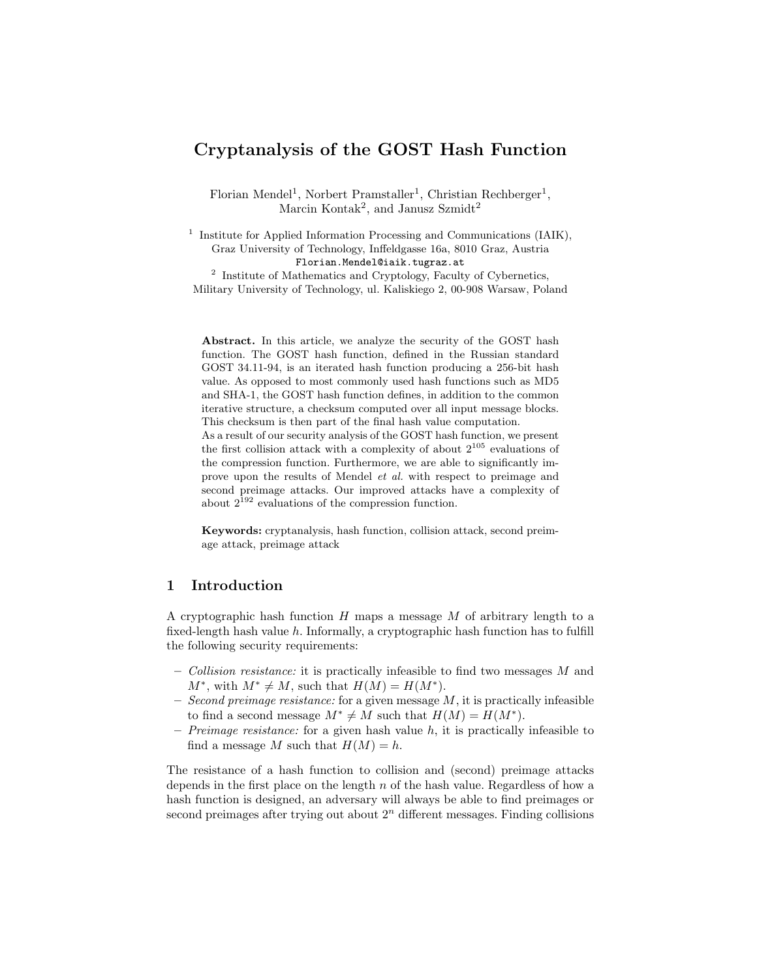# Cryptanalysis of the GOST Hash Function

Florian Mendel<sup>1</sup>, Norbert Pramstaller<sup>1</sup>, Christian Rechberger<sup>1</sup>, Marcin Kontak<sup>2</sup>, and Janusz Szmidt<sup>2</sup>

<sup>1</sup> Institute for Applied Information Processing and Communications (IAIK), Graz University of Technology, Inffeldgasse 16a, 8010 Graz, Austria Florian.Mendel@iaik.tugraz.at <sup>2</sup> Institute of Mathematics and Cryptology, Faculty of Cybernetics, Military University of Technology, ul. Kaliskiego 2, 00-908 Warsaw, Poland

Abstract. In this article, we analyze the security of the GOST hash function. The GOST hash function, defined in the Russian standard GOST 34.11-94, is an iterated hash function producing a 256-bit hash value. As opposed to most commonly used hash functions such as MD5 and SHA-1, the GOST hash function defines, in addition to the common iterative structure, a checksum computed over all input message blocks. This checksum is then part of the final hash value computation.

As a result of our security analysis of the GOST hash function, we present the first collision attack with a complexity of about  $2^{105}$  evaluations of the compression function. Furthermore, we are able to significantly improve upon the results of Mendel et al. with respect to preimage and second preimage attacks. Our improved attacks have a complexity of about  $2^{192}$  evaluations of the compression function.

Keywords: cryptanalysis, hash function, collision attack, second preimage attack, preimage attack

# 1 Introduction

A cryptographic hash function  $H$  maps a message  $M$  of arbitrary length to a fixed-length hash value  $h$ . Informally, a cryptographic hash function has to fulfill the following security requirements:

- Collision resistance: it is practically infeasible to find two messages  $M$  and  $M^*$ , with  $M^* \neq M$ , such that  $H(M) = H(M^*)$ .
- Second preimage resistance: for a given message  $M$ , it is practically infeasible to find a second message  $M^* \neq M$  such that  $H(M) = H(M^*)$ .
- Preimage resistance: for a given hash value h, it is practically infeasible to find a message M such that  $H(M) = h$ .

The resistance of a hash function to collision and (second) preimage attacks depends in the first place on the length n of the hash value. Regardless of how a hash function is designed, an adversary will always be able to find preimages or second preimages after trying out about  $2<sup>n</sup>$  different messages. Finding collisions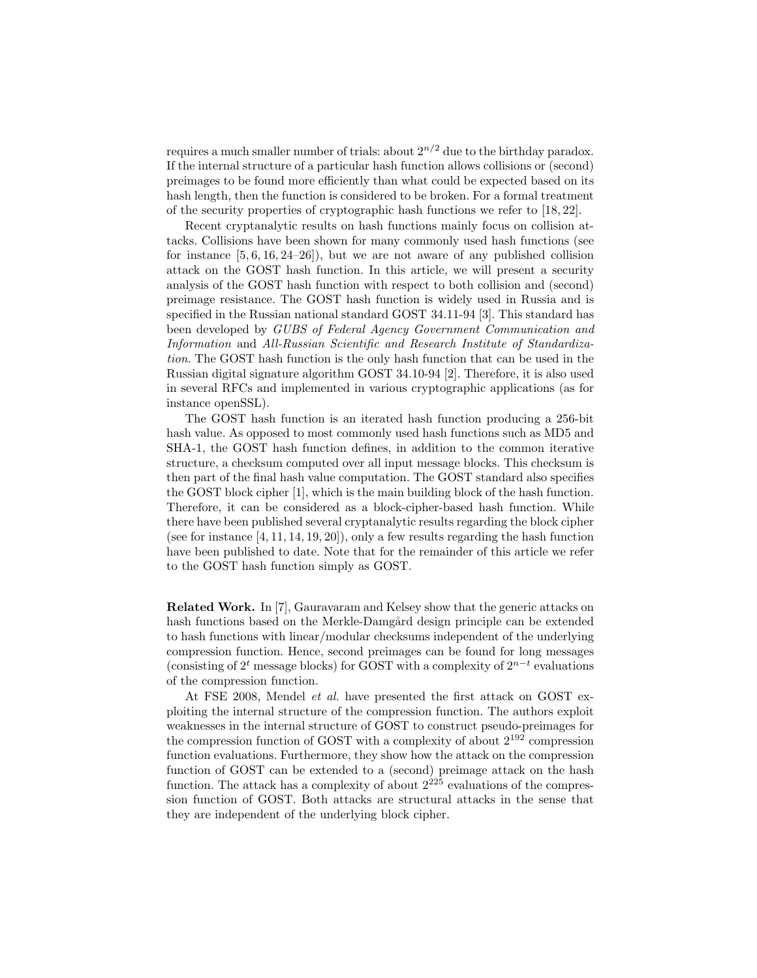requires a much smaller number of trials: about  $2^{n/2}$  due to the birthday paradox. If the internal structure of a particular hash function allows collisions or (second) preimages to be found more efficiently than what could be expected based on its hash length, then the function is considered to be broken. For a formal treatment of the security properties of cryptographic hash functions we refer to [18, 22].

Recent cryptanalytic results on hash functions mainly focus on collision attacks. Collisions have been shown for many commonly used hash functions (see for instance  $[5, 6, 16, 24-26]$ , but we are not aware of any published collision attack on the GOST hash function. In this article, we will present a security analysis of the GOST hash function with respect to both collision and (second) preimage resistance. The GOST hash function is widely used in Russia and is specified in the Russian national standard GOST 34.11-94 [3]. This standard has been developed by GUBS of Federal Agency Government Communication and Information and All-Russian Scientific and Research Institute of Standardization. The GOST hash function is the only hash function that can be used in the Russian digital signature algorithm GOST 34.10-94 [2]. Therefore, it is also used in several RFCs and implemented in various cryptographic applications (as for instance openSSL).

The GOST hash function is an iterated hash function producing a 256-bit hash value. As opposed to most commonly used hash functions such as MD5 and SHA-1, the GOST hash function defines, in addition to the common iterative structure, a checksum computed over all input message blocks. This checksum is then part of the final hash value computation. The GOST standard also specifies the GOST block cipher [1], which is the main building block of the hash function. Therefore, it can be considered as a block-cipher-based hash function. While there have been published several cryptanalytic results regarding the block cipher (see for instance [4, 11, 14, 19, 20]), only a few results regarding the hash function have been published to date. Note that for the remainder of this article we refer to the GOST hash function simply as GOST.

Related Work. In [7], Gauravaram and Kelsey show that the generic attacks on hash functions based on the Merkle-Damgård design principle can be extended to hash functions with linear/modular checksums independent of the underlying compression function. Hence, second preimages can be found for long messages (consisting of  $2<sup>t</sup>$  message blocks) for GOST with a complexity of  $2^{n-t}$  evaluations of the compression function.

At FSE 2008, Mendel et al. have presented the first attack on GOST exploiting the internal structure of the compression function. The authors exploit weaknesses in the internal structure of GOST to construct pseudo-preimages for the compression function of GOST with a complexity of about  $2^{192}$  compression function evaluations. Furthermore, they show how the attack on the compression function of GOST can be extended to a (second) preimage attack on the hash function. The attack has a complexity of about  $2^{225}$  evaluations of the compression function of GOST. Both attacks are structural attacks in the sense that they are independent of the underlying block cipher.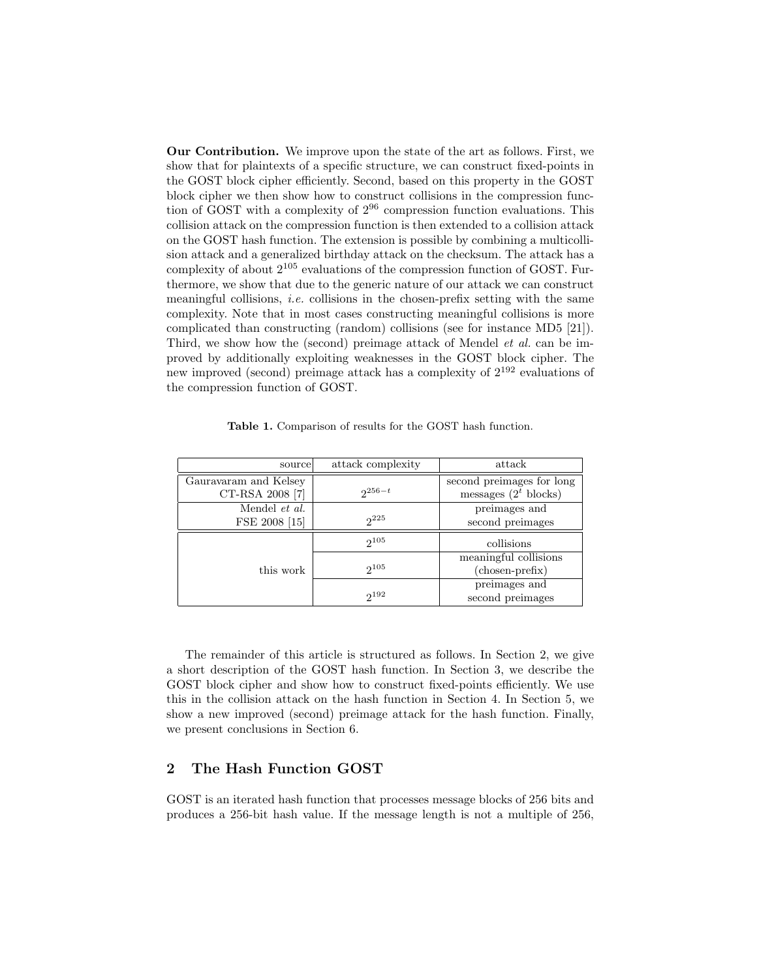Our Contribution. We improve upon the state of the art as follows. First, we show that for plaintexts of a specific structure, we can construct fixed-points in the GOST block cipher efficiently. Second, based on this property in the GOST block cipher we then show how to construct collisions in the compression function of GOST with a complexity of  $2^{96}$  compression function evaluations. This collision attack on the compression function is then extended to a collision attack on the GOST hash function. The extension is possible by combining a multicollision attack and a generalized birthday attack on the checksum. The attack has a complexity of about  $2^{105}$  evaluations of the compression function of GOST. Furthermore, we show that due to the generic nature of our attack we can construct meaningful collisions, *i.e.* collisions in the chosen-prefix setting with the same complexity. Note that in most cases constructing meaningful collisions is more complicated than constructing (random) collisions (see for instance MD5 [21]). Third, we show how the (second) preimage attack of Mendel *et al.* can be improved by additionally exploiting weaknesses in the GOST block cipher. The new improved (second) preimage attack has a complexity of  $2^{192}$  evaluations of the compression function of GOST.

Table 1. Comparison of results for the GOST hash function.

| source                | attack complexity | attack                    |
|-----------------------|-------------------|---------------------------|
| Gauravaram and Kelsey |                   | second preimages for long |
| CT-RSA 2008 [7]       | $2^{256-t}$       | messages $(2^t$ blocks)   |
| Mendel et al.         |                   | preimages and             |
| FSE 2008 [15]         | $2^{225}$         | second preimages          |
| this work             | $2^{105}$         | collisions                |
|                       |                   | meaningful collisions     |
|                       | $2^{105}$         | (chosen-prefix)           |
|                       |                   | preimages and             |
|                       | $2^{192}$         | second preimages          |

The remainder of this article is structured as follows. In Section 2, we give a short description of the GOST hash function. In Section 3, we describe the GOST block cipher and show how to construct fixed-points efficiently. We use this in the collision attack on the hash function in Section 4. In Section 5, we show a new improved (second) preimage attack for the hash function. Finally, we present conclusions in Section 6.

### 2 The Hash Function GOST

GOST is an iterated hash function that processes message blocks of 256 bits and produces a 256-bit hash value. If the message length is not a multiple of 256,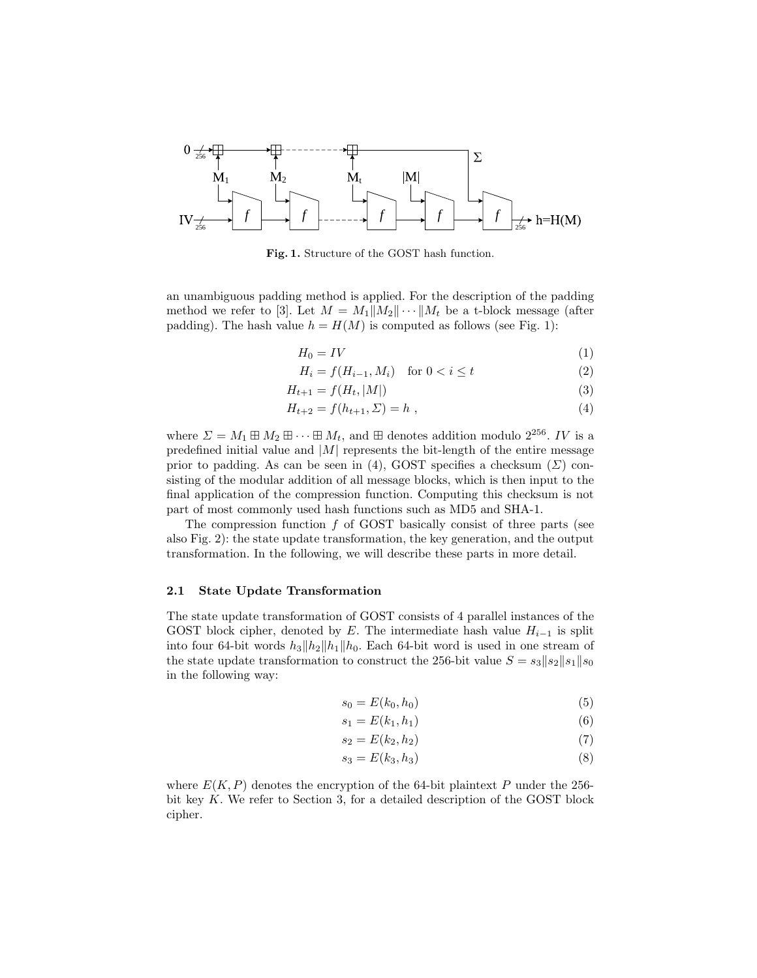

Fig. 1. Structure of the GOST hash function.

an unambiguous padding method is applied. For the description of the padding method we refer to [3]. Let  $M = M_1||M_2|| \cdots ||M_t$  be a t-block message (after padding). The hash value  $h = H(M)$  is computed as follows (see Fig. 1):

$$
H_0 = IV \tag{1}
$$

$$
H_i = f(H_{i-1}, M_i) \quad \text{for } 0 < i \le t \tag{2}
$$

$$
H_{t+1} = f(H_t, |M|)
$$
 (3)

$$
H_{t+2} = f(h_{t+1}, \Sigma) = h , \qquad (4)
$$

where  $\Sigma = M_1 \boxplus M_2 \boxplus \cdots \boxplus M_t$ , and  $\boxplus$  denotes addition modulo  $2^{256}$ . IV is a predefined initial value and  $|M|$  represents the bit-length of the entire message prior to padding. As can be seen in (4), GOST specifies a checksum ( $\Sigma$ ) consisting of the modular addition of all message blocks, which is then input to the final application of the compression function. Computing this checksum is not part of most commonly used hash functions such as MD5 and SHA-1.

The compression function  $f$  of GOST basically consist of three parts (see also Fig. 2): the state update transformation, the key generation, and the output transformation. In the following, we will describe these parts in more detail.

#### 2.1 State Update Transformation

The state update transformation of GOST consists of 4 parallel instances of the GOST block cipher, denoted by E. The intermediate hash value  $H_{i-1}$  is split into four 64-bit words  $h_3||h_2||h_1||h_0$ . Each 64-bit word is used in one stream of the state update transformation to construct the 256-bit value  $S = s_3||s_2||s_1||s_0$ in the following way:

$$
s_0 = E(k_0, h_0) \tag{5}
$$

$$
s_1 = E(k_1, h_1) \tag{6}
$$

$$
s_2 = E(k_2, h_2) \tag{7}
$$

$$
s_3 = E(k_3, h_3) \tag{8}
$$

where  $E(K, P)$  denotes the encryption of the 64-bit plaintext P under the 256bit key K. We refer to Section 3, for a detailed description of the GOST block cipher.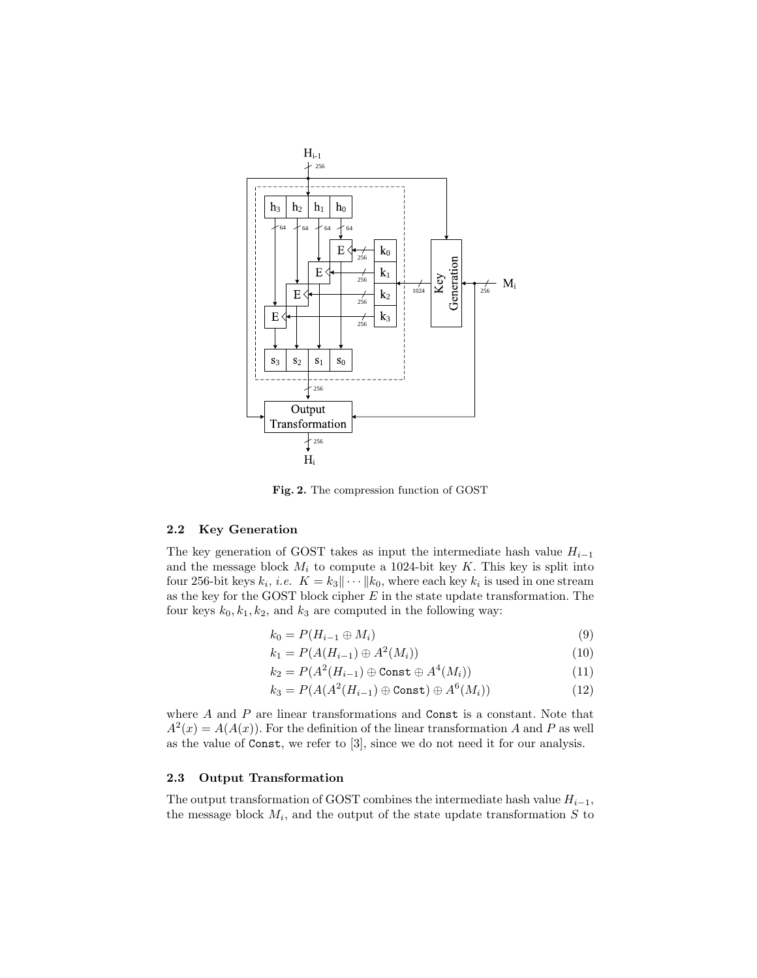

Fig. 2. The compression function of GOST

### 2.2 Key Generation

The key generation of GOST takes as input the intermediate hash value  $H_{i-1}$ and the message block  $M_i$  to compute a 1024-bit key K. This key is split into four 256-bit keys  $k_i$ , *i.e.*  $K = k_3 || \cdots || k_0$ , where each key  $k_i$  is used in one stream as the key for the GOST block cipher  $E$  in the state update transformation. The four keys  $k_0, k_1, k_2$ , and  $k_3$  are computed in the following way:

$$
k_0 = P(H_{i-1} \oplus M_i) \tag{9}
$$

$$
k_1 = P(A(H_{i-1}) \oplus A^2(M_i))
$$
\n(10)

$$
k_2 = P(A^2(H_{i-1}) \oplus \text{Const} \oplus A^4(M_i))
$$
\n(11)

$$
k_3 = P(A(A^2(H_{i-1}) \oplus \text{Const}) \oplus A^6(M_i))
$$
\n(12)

where  $A$  and  $P$  are linear transformations and  $\text{Const}$  is a constant. Note that  $A^{2}(x) = A(A(x))$ . For the definition of the linear transformation A and P as well as the value of Const, we refer to [3], since we do not need it for our analysis.

### 2.3 Output Transformation

The output transformation of GOST combines the intermediate hash value  $H_{i-1}$ , the message block  $M_i$ , and the output of the state update transformation S to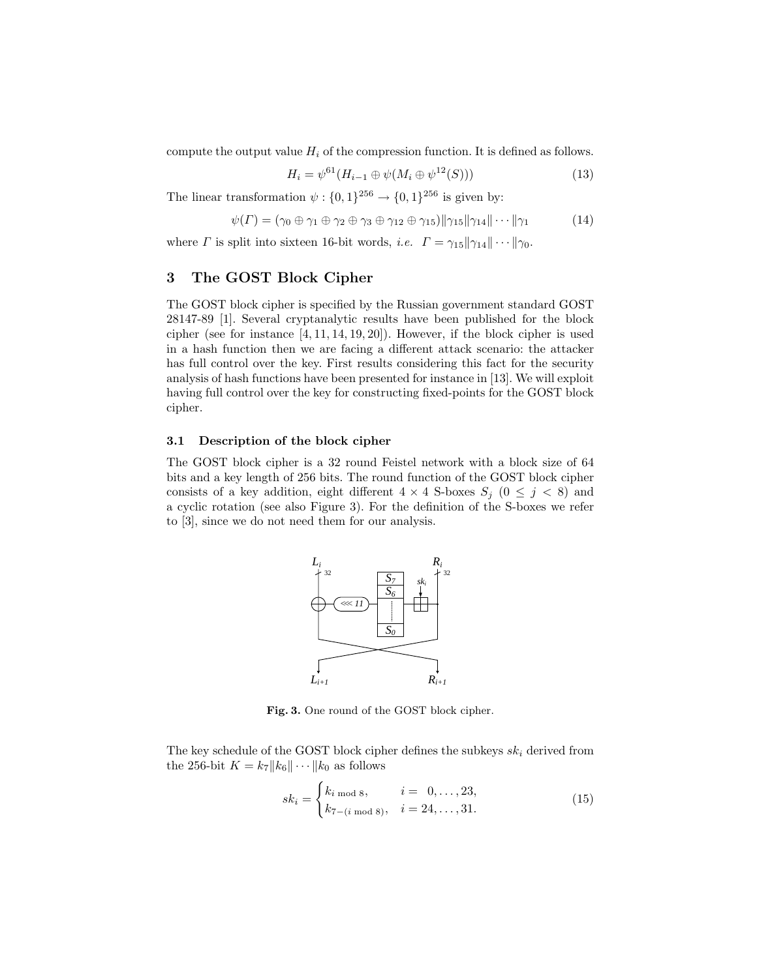compute the output value  $H_i$  of the compression function. It is defined as follows.

$$
H_i = \psi^{61}(H_{i-1} \oplus \psi(M_i \oplus \psi^{12}(S))) \tag{13}
$$

The linear transformation  $\psi: \{0,1\}^{256} \to \{0,1\}^{256}$  is given by:

$$
\psi(\Gamma) = (\gamma_0 \oplus \gamma_1 \oplus \gamma_2 \oplus \gamma_3 \oplus \gamma_{12} \oplus \gamma_{15}) \|\gamma_{15}\|\gamma_{14}\|\cdots\|\gamma_1
$$
 (14)

where  $\Gamma$  is split into sixteen 16-bit words, *i.e.*  $\Gamma = \gamma_{15} || \gamma_{14} || \cdots || \gamma_0$ .

# 3 The GOST Block Cipher

The GOST block cipher is specified by the Russian government standard GOST 28147-89 [1]. Several cryptanalytic results have been published for the block cipher (see for instance [4, 11, 14, 19, 20]). However, if the block cipher is used in a hash function then we are facing a different attack scenario: the attacker has full control over the key. First results considering this fact for the security analysis of hash functions have been presented for instance in [13]. We will exploit having full control over the key for constructing fixed-points for the GOST block cipher.

### 3.1 Description of the block cipher

The GOST block cipher is a 32 round Feistel network with a block size of 64 bits and a key length of 256 bits. The round function of the GOST block cipher consists of a key addition, eight different  $4 \times 4$  S-boxes  $S_j$   $(0 \leq j \leq 8)$  and a cyclic rotation (see also Figure 3). For the definition of the S-boxes we refer to [3], since we do not need them for our analysis.



Fig. 3. One round of the GOST block cipher.

The key schedule of the GOST block cipher defines the subkeys  $sk_i$  derived from the 256-bit  $K = k_7 ||k_6|| \cdots ||k_0$  as follows

$$
sk_i = \begin{cases} k_{i \text{ mod } 8}, & i = 0, \dots, 23, \\ k_{7-(i \text{ mod } 8)}, & i = 24, \dots, 31. \end{cases}
$$
(15)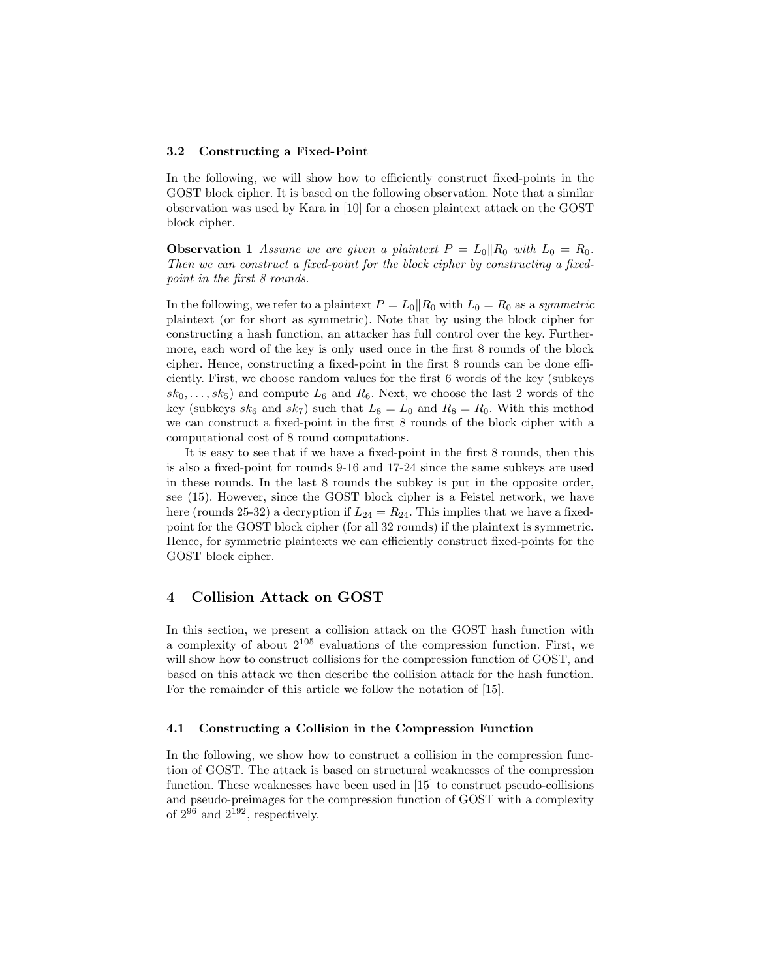#### 3.2 Constructing a Fixed-Point

In the following, we will show how to efficiently construct fixed-points in the GOST block cipher. It is based on the following observation. Note that a similar observation was used by Kara in [10] for a chosen plaintext attack on the GOST block cipher.

**Observation 1** Assume we are given a plaintext  $P = L_0||R_0$  with  $L_0 = R_0$ . Then we can construct a fixed-point for the block cipher by constructing a fixedpoint in the first 8 rounds.

In the following, we refer to a plaintext  $P = L_0||R_0$  with  $L_0 = R_0$  as a symmetric plaintext (or for short as symmetric). Note that by using the block cipher for constructing a hash function, an attacker has full control over the key. Furthermore, each word of the key is only used once in the first 8 rounds of the block cipher. Hence, constructing a fixed-point in the first 8 rounds can be done efficiently. First, we choose random values for the first 6 words of the key (subkeys  $sk_0, \ldots, sk_5$  and compute  $L_6$  and  $R_6$ . Next, we choose the last 2 words of the key (subkeys  $sk_6$  and  $sk_7$ ) such that  $L_8 = L_0$  and  $R_8 = R_0$ . With this method we can construct a fixed-point in the first 8 rounds of the block cipher with a computational cost of 8 round computations.

It is easy to see that if we have a fixed-point in the first 8 rounds, then this is also a fixed-point for rounds 9-16 and 17-24 since the same subkeys are used in these rounds. In the last 8 rounds the subkey is put in the opposite order, see (15). However, since the GOST block cipher is a Feistel network, we have here (rounds 25-32) a decryption if  $L_{24} = R_{24}$ . This implies that we have a fixedpoint for the GOST block cipher (for all 32 rounds) if the plaintext is symmetric. Hence, for symmetric plaintexts we can efficiently construct fixed-points for the GOST block cipher.

## 4 Collision Attack on GOST

In this section, we present a collision attack on the GOST hash function with a complexity of about  $2^{105}$  evaluations of the compression function. First, we will show how to construct collisions for the compression function of GOST, and based on this attack we then describe the collision attack for the hash function. For the remainder of this article we follow the notation of [15].

#### 4.1 Constructing a Collision in the Compression Function

In the following, we show how to construct a collision in the compression function of GOST. The attack is based on structural weaknesses of the compression function. These weaknesses have been used in [15] to construct pseudo-collisions and pseudo-preimages for the compression function of GOST with a complexity of  $2^{96}$  and  $2^{192}$ , respectively.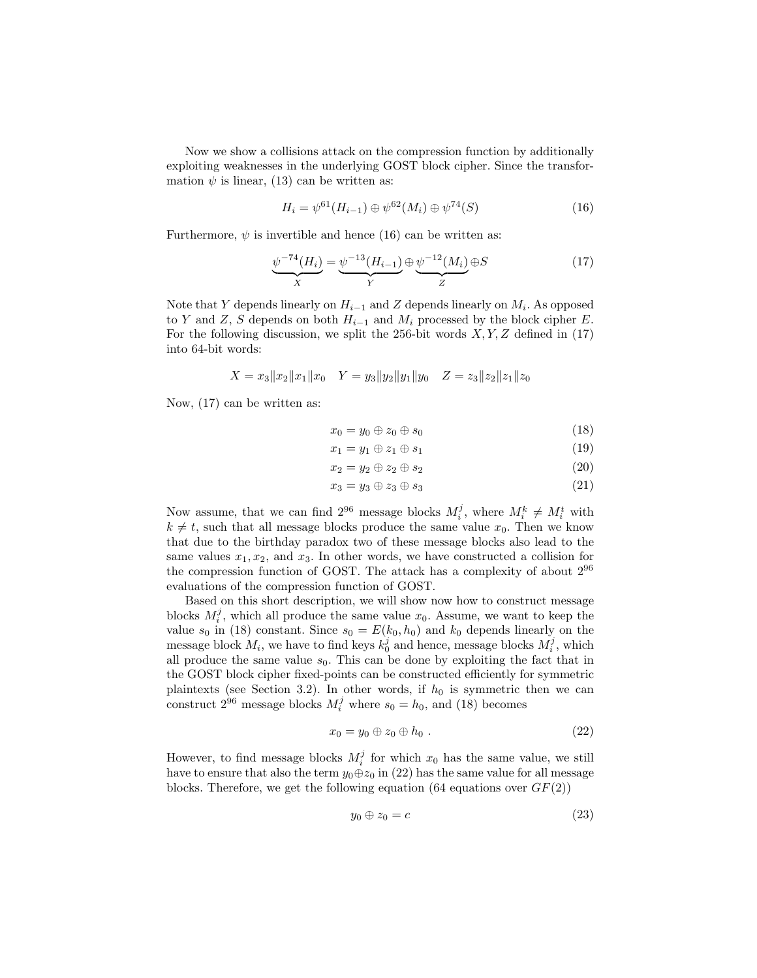Now we show a collisions attack on the compression function by additionally exploiting weaknesses in the underlying GOST block cipher. Since the transformation  $\psi$  is linear, (13) can be written as:

$$
H_i = \psi^{61}(H_{i-1}) \oplus \psi^{62}(M_i) \oplus \psi^{74}(S)
$$
\n(16)

Furthermore,  $\psi$  is invertible and hence (16) can be written as:

$$
\underbrace{\psi^{-74}(H_i)}_{X} = \underbrace{\psi^{-13}(H_{i-1})}_{Y} \oplus \underbrace{\psi^{-12}(M_i)}_{Z} \oplus S \tag{17}
$$

Note that Y depends linearly on  $H_{i-1}$  and Z depends linearly on  $M_i$ . As opposed to Y and Z, S depends on both  $H_{i-1}$  and  $M_i$  processed by the block cipher E. For the following discussion, we split the 256-bit words  $X, Y, Z$  defined in (17) into 64-bit words:

$$
X = x_3 ||x_2||x_1||x_0 \quad Y = y_3 ||y_2||y_1||y_0 \quad Z = z_3 ||z_2||z_1||z_0
$$

Now, (17) can be written as:

$$
x_0 = y_0 \oplus z_0 \oplus s_0 \tag{18}
$$

$$
x_1 = y_1 \oplus z_1 \oplus s_1 \tag{19}
$$

$$
x_2 = y_2 \oplus z_2 \oplus s_2 \tag{20}
$$

$$
x_3 = y_3 \oplus z_3 \oplus s_3 \tag{21}
$$

Now assume, that we can find  $2^{96}$  message blocks  $M_i^j$ , where  $M_i^k \neq M_i^t$  with  $k \neq t$ , such that all message blocks produce the same value  $x_0$ . Then we know that due to the birthday paradox two of these message blocks also lead to the same values  $x_1, x_2$ , and  $x_3$ . In other words, we have constructed a collision for the compression function of GOST. The attack has a complexity of about 2<sup>96</sup> evaluations of the compression function of GOST.

Based on this short description, we will show now how to construct message blocks  $M_i^j$ , which all produce the same value  $x_0$ . Assume, we want to keep the value  $s_0$  in (18) constant. Since  $s_0 = E(k_0, h_0)$  and  $k_0$  depends linearly on the message block  $M_i$ , we have to find keys  $k_0^j$  and hence, message blocks  $M_i^j$ , which all produce the same value  $s_0$ . This can be done by exploiting the fact that in the GOST block cipher fixed-points can be constructed efficiently for symmetric plaintexts (see Section 3.2). In other words, if  $h_0$  is symmetric then we can construct  $2^{96}$  message blocks  $M_i^j$  where  $s_0 = h_0$ , and (18) becomes

$$
x_0 = y_0 \oplus z_0 \oplus h_0 \ . \tag{22}
$$

However, to find message blocks  $M_i^j$  for which  $x_0$  has the same value, we still have to ensure that also the term  $y_0 \oplus z_0$  in (22) has the same value for all message blocks. Therefore, we get the following equation (64 equations over  $GF(2)$ )

$$
y_0 \oplus z_0 = c \tag{23}
$$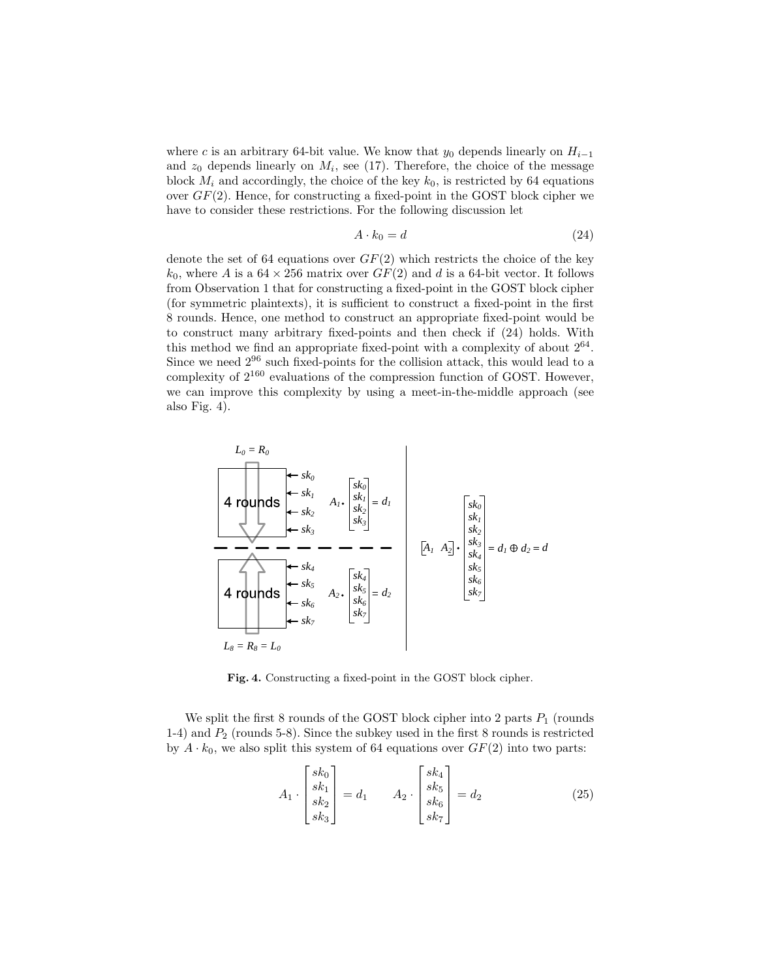where c is an arbitrary 64-bit value. We know that  $y_0$  depends linearly on  $H_{i-1}$ and  $z_0$  depends linearly on  $M_i$ , see (17). Therefore, the choice of the message block  $M_i$  and accordingly, the choice of the key  $k_0$ , is restricted by 64 equations over  $GF(2)$ . Hence, for constructing a fixed-point in the GOST block cipher we have to consider these restrictions. For the following discussion let

$$
A \cdot k_0 = d \tag{24}
$$

denote the set of 64 equations over  $GF(2)$  which restricts the choice of the key  $k_0$ , where A is a  $64 \times 256$  matrix over  $GF(2)$  and d is a 64-bit vector. It follows from Observation 1 that for constructing a fixed-point in the GOST block cipher (for symmetric plaintexts), it is sufficient to construct a fixed-point in the first 8 rounds. Hence, one method to construct an appropriate fixed-point would be to construct many arbitrary fixed-points and then check if (24) holds. With this method we find an appropriate fixed-point with a complexity of about  $2^{64}$ . Since we need  $2^{96}$  such fixed-points for the collision attack, this would lead to a complexity of  $2^{160}$  evaluations of the compression function of GOST. However, we can improve this complexity by using a meet-in-the-middle approach (see also Fig. 4).

$$
L_0 = R_0
$$
\n\n4 rounds

\n
$$
s_k
$$
\n
$$
s_k
$$
\n
$$
s_k
$$
\n
$$
s_k
$$
\n
$$
s_k
$$
\n
$$
s_k
$$
\n
$$
s_k
$$
\n
$$
s_k
$$
\n
$$
s_k
$$
\n
$$
s_k
$$
\n
$$
s_k
$$
\n
$$
s_k
$$
\n
$$
s_k
$$
\n
$$
s_k
$$
\n
$$
s_k
$$
\n
$$
s_k
$$
\n
$$
s_k
$$
\n
$$
s_k
$$
\n
$$
s_k
$$
\n
$$
s_k
$$
\n
$$
s_k
$$
\n
$$
s_k
$$
\n
$$
s_k
$$
\n
$$
s_k
$$
\n
$$
s_k
$$
\n
$$
s_k
$$
\n
$$
s_k
$$
\n
$$
s_k
$$
\n
$$
s_k
$$
\n
$$
s_k
$$
\n
$$
s_k
$$
\n
$$
s_k
$$
\n
$$
s_k
$$
\n
$$
s_k
$$
\n
$$
s_k
$$
\n
$$
s_k
$$
\n
$$
s_k
$$
\n
$$
s_k
$$
\n
$$
s_k
$$
\n
$$
s_k
$$
\n
$$
s_k
$$
\n
$$
s_k
$$
\n
$$
s_k
$$
\n
$$
s_k
$$
\n
$$
s_k
$$
\n
$$
s_k
$$
\n
$$
s_k
$$
\n
$$
s_k
$$
\n
$$
s_k
$$
\n
$$
s_k
$$
\n
$$
s_k
$$
\n
$$
s_k
$$
\n
$$
s_k
$$
\n
$$
s_k
$$
\n
$$
s_k
$$
\n
$$
s_k
$$
\n
$$
s_k
$$
\n
$$
s_k
$$
\n
$$
s_k
$$
\n
$$
s_k
$$
\n
$$
s_k
$$
\n
$$
s
$$

Fig. 4. Constructing a fixed-point in the GOST block cipher.

We split the first 8 rounds of the GOST block cipher into 2 parts  $P_1$  (rounds 1-4) and  $P_2$  (rounds 5-8). Since the subkey used in the first 8 rounds is restricted by  $A \cdot k_0$ , we also split this system of 64 equations over  $GF(2)$  into two parts:

$$
A_1 \cdot \begin{bmatrix} sk_0 \\ sk_1 \\ sk_2 \\ sk_3 \end{bmatrix} = d_1 \qquad A_2 \cdot \begin{bmatrix} sk_4 \\ sk_5 \\ sk_6 \\ sk_7 \end{bmatrix} = d_2 \qquad (25)
$$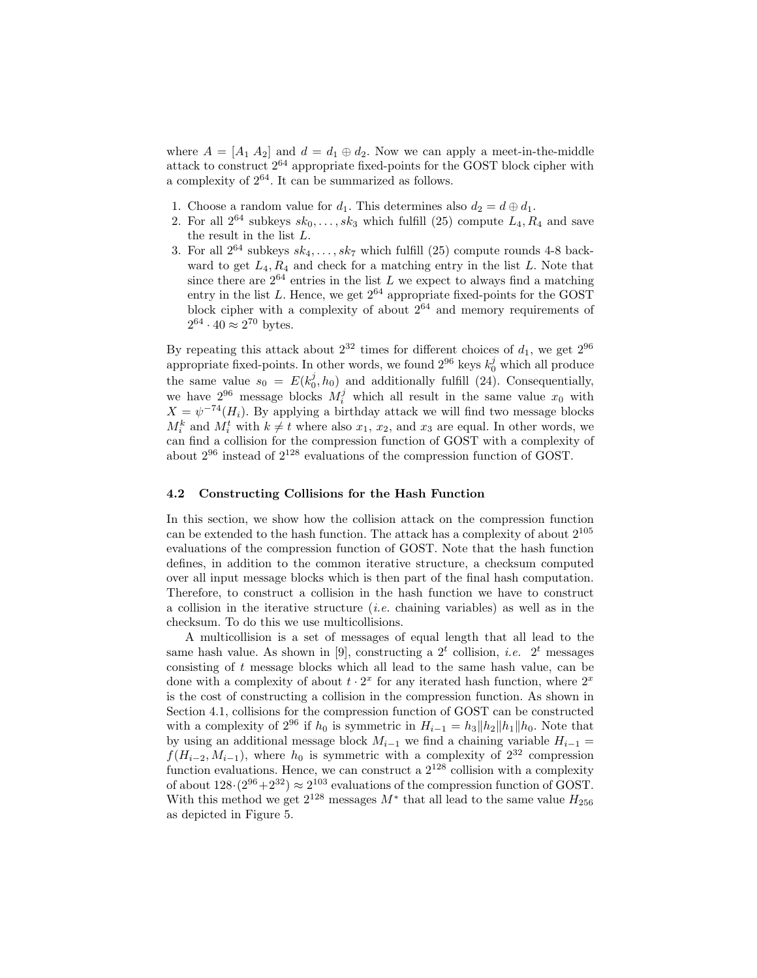where  $A = [A_1 \ A_2]$  and  $d = d_1 \oplus d_2$ . Now we can apply a meet-in-the-middle attack to construct 2<sup>64</sup> appropriate fixed-points for the GOST block cipher with a complexity of  $2^{64}.$  It can be summarized as follows.

- 1. Choose a random value for  $d_1$ . This determines also  $d_2 = d \oplus d_1$ .
- 2. For all  $2^{64}$  subkeys  $sk_0, \ldots, sk_3$  which fulfill (25) compute  $L_4, R_4$  and save the result in the list  $L$ .
- 3. For all  $2^{64}$  subkeys  $sk_4, \ldots, sk_7$  which fulfill (25) compute rounds 4-8 backward to get  $L_4, R_4$  and check for a matching entry in the list L. Note that since there are  $2^{64}$  entries in the list L we expect to always find a matching entry in the list  $L$ . Hence, we get  $2^{64}$  appropriate fixed-points for the GOST block cipher with a complexity of about  $2^{64}$  and memory requirements of  $2^{64} \cdot 40 \approx 2^{70}$  bytes.

By repeating this attack about  $2^{32}$  times for different choices of  $d_1$ , we get  $2^{96}$ appropriate fixed-points. In other words, we found  $2^{96}$  keys  $k_0^j$  which all produce the same value  $s_0 = E(k_0^j, h_0)$  and additionally fulfill (24). Consequentially, we have  $2^{96}$  message blocks  $M_i^j$  which all result in the same value  $x_0$  with  $X = \psi^{-74}(H_i)$ . By applying a birthday attack we will find two message blocks  $M_i^k$  and  $M_i^t$  with  $k \neq t$  where also  $x_1, x_2$ , and  $x_3$  are equal. In other words, we can find a collision for the compression function of GOST with a complexity of about  $2^{96}$  instead of  $2^{128}$  evaluations of the compression function of GOST.

#### 4.2 Constructing Collisions for the Hash Function

In this section, we show how the collision attack on the compression function can be extended to the hash function. The attack has a complexity of about  $2^{105}$ evaluations of the compression function of GOST. Note that the hash function defines, in addition to the common iterative structure, a checksum computed over all input message blocks which is then part of the final hash computation. Therefore, to construct a collision in the hash function we have to construct a collision in the iterative structure *(i.e.* chaining variables) as well as in the checksum. To do this we use multicollisions.

A multicollision is a set of messages of equal length that all lead to the same hash value. As shown in [9], constructing a  $2<sup>t</sup>$  collision, *i.e.*  $2<sup>t</sup>$  messages consisting of t message blocks which all lead to the same hash value, can be done with a complexity of about  $t \cdot 2^x$  for any iterated hash function, where  $2^x$ is the cost of constructing a collision in the compression function. As shown in Section 4.1, collisions for the compression function of GOST can be constructed with a complexity of  $2^{96}$  if  $h_0$  is symmetric in  $H_{i-1} = h_3 ||h_2|| h_1 ||h_0$ . Note that by using an additional message block  $M_{i-1}$  we find a chaining variable  $H_{i-1}$  =  $f(H_{i-2}, M_{i-1})$ , where  $h_0$  is symmetric with a complexity of  $2^{32}$  compression function evaluations. Hence, we can construct a  $2^{128}$  collision with a complexity of about  $128 \cdot (2^{96} + 2^{32}) \approx 2^{103}$  evaluations of the compression function of GOST. With this method we get  $2^{128}$  messages  $M^*$  that all lead to the same value  $H_{256}$ as depicted in Figure 5.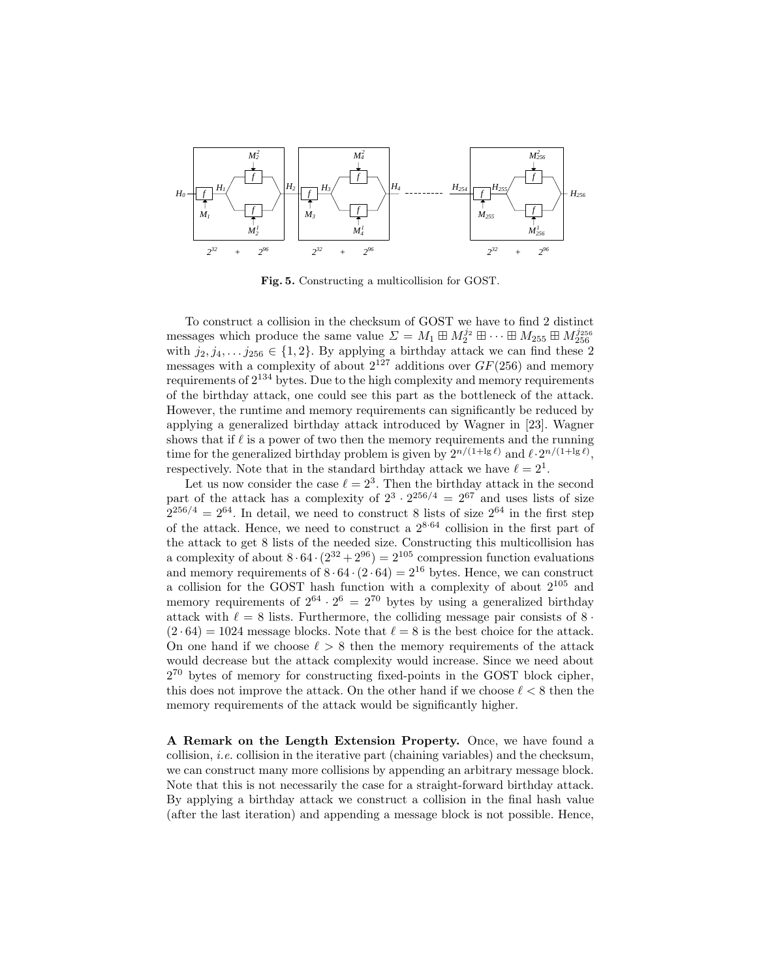

Fig. 5. Constructing a multicollision for GOST.

To construct a collision in the checksum of GOST we have to find 2 distinct messages which produce the same value  $\Sigma = M_1 \boxplus M_2^{j_2} \boxplus \cdots \boxplus M_{255} \boxplus M_{256}^{j_{256}}$ with  $j_2, j_4, \ldots, j_{256} \in \{1,2\}$ . By applying a birthday attack we can find these 2 messages with a complexity of about  $2^{127}$  additions over  $GF(256)$  and memory requirements of  $2^{134}$  bytes. Due to the high complexity and memory requirements of the birthday attack, one could see this part as the bottleneck of the attack. However, the runtime and memory requirements can significantly be reduced by applying a generalized birthday attack introduced by Wagner in [23]. Wagner shows that if  $\ell$  is a power of two then the memory requirements and the running time for the generalized birthday problem is given by  $2^{n/(1+\lg \ell)}$  and  $\ell \cdot 2^{n/(1+\lg \ell)}$ , respectively. Note that in the standard birthday attack we have  $\ell = 2^1$ .

Let us now consider the case  $\ell = 2^3$ . Then the birthday attack in the second part of the attack has a complexity of  $2^3 \cdot 2^{256/4} = 2^{67}$  and uses lists of size  $2^{256/4} = 2^{64}$ . In detail, we need to construct 8 lists of size  $2^{64}$  in the first step of the attack. Hence, we need to construct a  $2^{8.64}$  collision in the first part of the attack to get 8 lists of the needed size. Constructing this multicollision has a complexity of about  $8 \cdot 64 \cdot (2^{32} + 2^{96}) = 2^{105}$  compression function evaluations and memory requirements of  $8 \cdot 64 \cdot (2 \cdot 64) = 2^{16}$  bytes. Hence, we can construct a collision for the GOST hash function with a complexity of about  $2^{105}$  and memory requirements of  $2^{64} \cdot 2^6 = 2^{70}$  bytes by using a generalized birthday attack with  $\ell = 8$  lists. Furthermore, the colliding message pair consists of 8 ·  $(2 \cdot 64) = 1024$  message blocks. Note that  $\ell = 8$  is the best choice for the attack. On one hand if we choose  $\ell > 8$  then the memory requirements of the attack would decrease but the attack complexity would increase. Since we need about  $2^{70}$  bytes of memory for constructing fixed-points in the GOST block cipher, this does not improve the attack. On the other hand if we choose  $\ell < 8$  then the memory requirements of the attack would be significantly higher.

A Remark on the Length Extension Property. Once, we have found a collision, i.e. collision in the iterative part (chaining variables) and the checksum, we can construct many more collisions by appending an arbitrary message block. Note that this is not necessarily the case for a straight-forward birthday attack. By applying a birthday attack we construct a collision in the final hash value (after the last iteration) and appending a message block is not possible. Hence,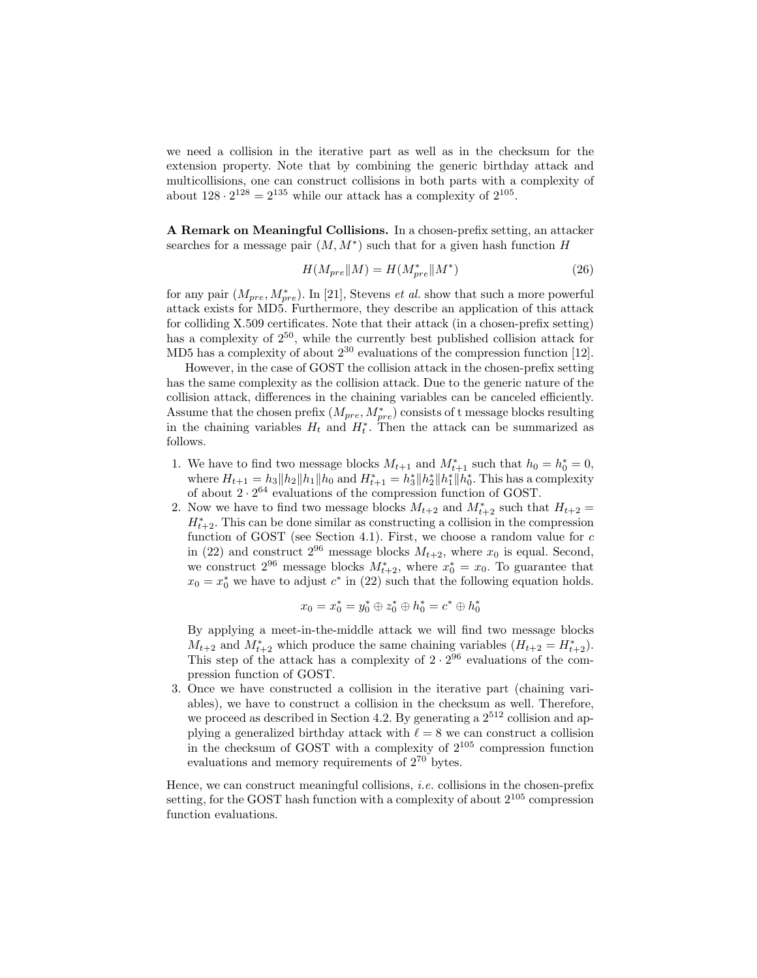we need a collision in the iterative part as well as in the checksum for the extension property. Note that by combining the generic birthday attack and multicollisions, one can construct collisions in both parts with a complexity of about  $128 \cdot 2^{128} = 2^{135}$  while our attack has a complexity of  $2^{105}$ .

A Remark on Meaningful Collisions. In a chosen-prefix setting, an attacker searches for a message pair  $(M, M^*)$  such that for a given hash function H

$$
H(M_{pre}||M) = H(M_{pre}^*||M^*)
$$
\n<sup>(26)</sup>

for any pair  $(M_{pre}, M_{pre}^*)$ . In [21], Stevens *et al.* show that such a more powerful attack exists for MD5. Furthermore, they describe an application of this attack for colliding X.509 certificates. Note that their attack (in a chosen-prefix setting) has a complexity of  $2^{50}$ , while the currently best published collision attack for MD5 has a complexity of about  $2^{30}$  evaluations of the compression function [12].

However, in the case of GOST the collision attack in the chosen-prefix setting has the same complexity as the collision attack. Due to the generic nature of the collision attack, differences in the chaining variables can be canceled efficiently. Assume that the chosen prefix  $(M_{pre}, M_{pre}^*)$  consists of t message blocks resulting in the chaining variables  $H_t$  and  $H_t^*$ . Then the attack can be summarized as follows.

- 1. We have to find two message blocks  $M_{t+1}$  and  $M_{t+1}^*$  such that  $h_0 = h_0^* = 0$ , where  $H_{t+1} = h_3 ||h_2 ||h_1 || h_0$  and  $H_{t+1}^* = h_3^* ||h_2^* ||h_1^*|| h_0^*$ . This has a complexity of about  $2 \cdot 2^{64}$  evaluations of the compression function of GOST.
- 2. Now we have to find two message blocks  $M_{t+2}$  and  $M_{t+2}^*$  such that  $H_{t+2}$  =  $H_{t+2}^*$ . This can be done similar as constructing a collision in the compression function of GOST (see Section 4.1). First, we choose a random value for  $c$ in (22) and construct  $2^{96}$  message blocks  $M_{t+2}$ , where  $x_0$  is equal. Second, we construct  $2^{96}$  message blocks  $M_{t+2}^*$ , where  $x_0^* = x_0$ . To guarantee that  $x_0 = x_0^*$  we have to adjust  $c^*$  in (22) such that the following equation holds.

$$
x_0 = x_0^* = y_0^* \oplus z_0^* \oplus h_0^* = c^* \oplus h_0^*
$$

By applying a meet-in-the-middle attack we will find two message blocks  $M_{t+2}$  and  $M_{t+2}^*$  which produce the same chaining variables  $(H_{t+2} = H_{t+2}^*)$ . This step of the attack has a complexity of  $2 \cdot 2^{96}$  evaluations of the compression function of GOST.

3. Once we have constructed a collision in the iterative part (chaining variables), we have to construct a collision in the checksum as well. Therefore, we proceed as described in Section 4.2. By generating a  $2^{512}$  collision and applying a generalized birthday attack with  $\ell = 8$  we can construct a collision in the checksum of GOST with a complexity of  $2^{105}$  compression function evaluations and memory requirements of 2<sup>70</sup> bytes.

Hence, we can construct meaningful collisions, *i.e.* collisions in the chosen-prefix setting, for the GOST hash function with a complexity of about  $2^{105}$  compression function evaluations.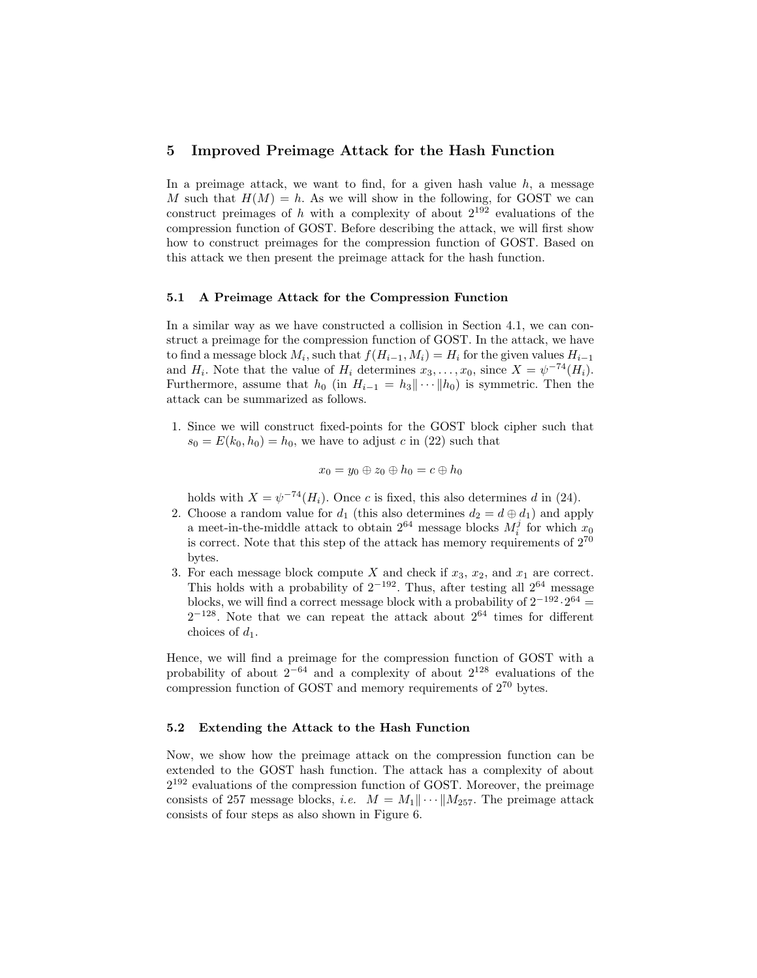### 5 Improved Preimage Attack for the Hash Function

In a preimage attack, we want to find, for a given hash value  $h$ , a message M such that  $H(M) = h$ . As we will show in the following, for GOST we can construct preimages of h with a complexity of about  $2^{192}$  evaluations of the compression function of GOST. Before describing the attack, we will first show how to construct preimages for the compression function of GOST. Based on this attack we then present the preimage attack for the hash function.

#### 5.1 A Preimage Attack for the Compression Function

In a similar way as we have constructed a collision in Section 4.1, we can construct a preimage for the compression function of GOST. In the attack, we have to find a message block  $M_i$ , such that  $f(H_{i-1}, M_i) = H_i$  for the given values  $H_{i-1}$ and  $H_i$ . Note that the value of  $H_i$  determines  $x_3, \ldots, x_0$ , since  $X = \psi^{-74}(H_i)$ . Furthermore, assume that  $h_0$  (in  $H_{i-1} = h_3 || \cdots || h_0$ ) is symmetric. Then the attack can be summarized as follows.

1. Since we will construct fixed-points for the GOST block cipher such that  $s_0 = E(k_0, h_0) = h_0$ , we have to adjust c in (22) such that

$$
x_0=y_0\oplus z_0\oplus h_0=c\oplus h_0
$$

holds with  $X = \psi^{-74}(H_i)$ . Once c is fixed, this also determines d in (24).

- 2. Choose a random value for  $d_1$  (this also determines  $d_2 = d \oplus d_1$ ) and apply a meet-in-the-middle attack to obtain  $2^{64}$  message blocks  $M_i^j$  for which  $x_0$ is correct. Note that this step of the attack has memory requirements of  $2^{70}$ bytes.
- 3. For each message block compute X and check if  $x_3, x_2, x_1$  are correct. This holds with a probability of  $2^{-192}$ . Thus, after testing all  $2^{64}$  message blocks, we will find a correct message block with a probability of  $2^{-192} \cdot 2^{64} =$  $2^{-128}$ . Note that we can repeat the attack about  $2^{64}$  times for different choices of  $d_1$ .

Hence, we will find a preimage for the compression function of GOST with a probability of about  $2^{-64}$  and a complexity of about  $2^{128}$  evaluations of the compression function of GOST and memory requirements of  $2^{70}$  bytes.

### 5.2 Extending the Attack to the Hash Function

Now, we show how the preimage attack on the compression function can be extended to the GOST hash function. The attack has a complexity of about  $2^{192}$  evaluations of the compression function of GOST. Moreover, the preimage consists of 257 message blocks, *i.e.*  $M = M_1 || \cdots || M_{257}$ . The preimage attack consists of four steps as also shown in Figure 6.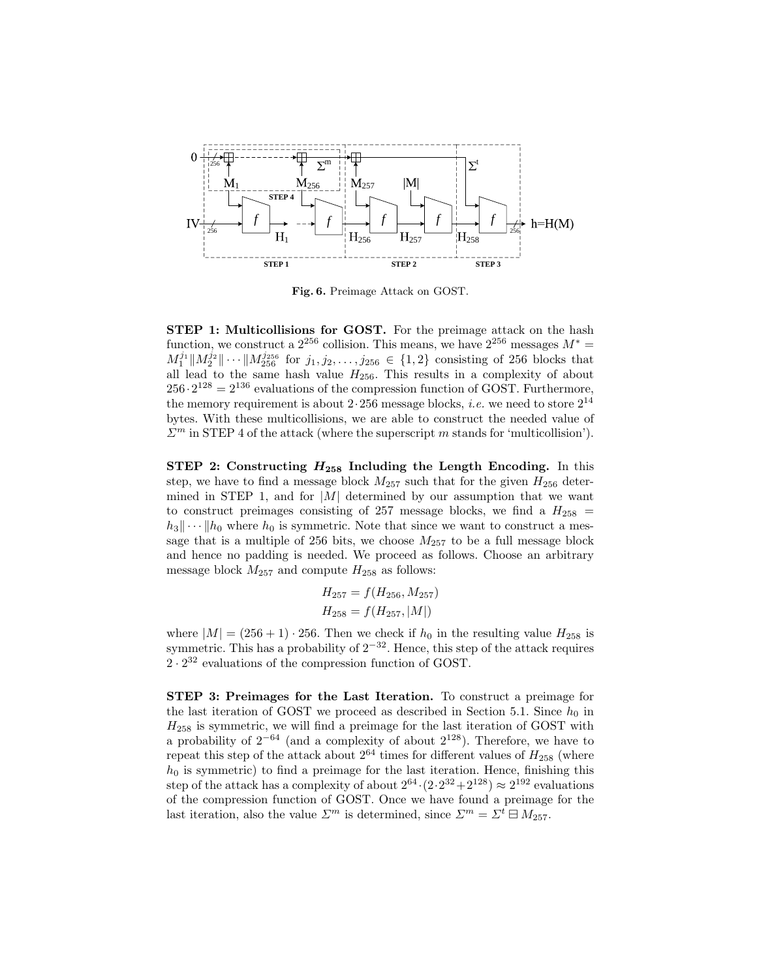

Fig. 6. Preimage Attack on GOST.

 $f^{256} \cdot 2^{128} = 2^{136}$  evaluations of the compression function of GOST. Furthermore,  $M_1^{j_1} \| M_2^{j_2} \| \cdots \| M_{256}^{j_{256}}$  for  $j_1, j_2, \ldots, j_{256} \in \{1,2\}$  consisting of 256 blocks that the memory requirement is about  $2.256$  message blocks, *i.e.* we need to store  $2^{14}$ function, we construct a  $2^{256}$  collision. This means, we have  $2^{256}$  messages  $M^* =$ STEP 1: Multicollisions for GOST. For the preimage attack on the hash all lead to the same hash value  $H_{256}$ . This results in a complexity of about bytes. With these multicollisions, we are able to construct the needed value of  $\Sigma^m$  in STEP 4 of the attack (where the superscript m stands for 'multicollision').

STEP 2: Constructing  $H_{258}$  Including the Length Encoding. In this step, we have to find a message block  $M_{257}$  such that for the given  $H_{256}$  determined in STEP 1, and for  $|M|$  determined by our assumption that we want to construct preimages consisting of 257 message blocks, we find a  $H_{258}$  =  $|h_3|\cdots|h_0$  where  $h_0$  is symmetric. Note that since we want to construct a message that is a multiple of 256 bits, we choose  $M_{257}$  to be a full message block and hence no padding is needed. We proceed as follows. Choose an arbitrary message block  $M_{257}$  and compute  $H_{258}$  as follows:

$$
H_{257} = f(H_{256}, M_{257})
$$
  

$$
H_{258} = f(H_{257}, |M|)
$$

where  $|M| = (256 + 1) \cdot 256$ . Then we check if  $h_0$  in the resulting value  $H_{258}$  is symmetric. This has a probability of  $2^{-32}$ . Hence, this step of the attack requires  $2 \cdot 2^{32}$  evaluations of the compression function of GOST.

STEP 3: Preimages for the Last Iteration. To construct a preimage for the last iteration of GOST we proceed as described in Section 5.1. Since  $h_0$  in  $H<sub>258</sub>$  is symmetric, we will find a preimage for the last iteration of GOST with a probability of  $2^{-64}$  (and a complexity of about  $2^{128}$ ). Therefore, we have to repeat this step of the attack about  $2^{64}$  times for different values of  $H_{258}$  (where  $h_0$  is symmetric) to find a preimage for the last iteration. Hence, finishing this step of the attack has a complexity of about  $2^{64} \cdot (2 \cdot 2^{32} + 2^{128}) \approx 2^{192}$  evaluations of the compression function of GOST. Once we have found a preimage for the last iteration, also the value  $\Sigma^m$  is determined, since  $\Sigma^m = \Sigma^t \boxminus M_{257}$ .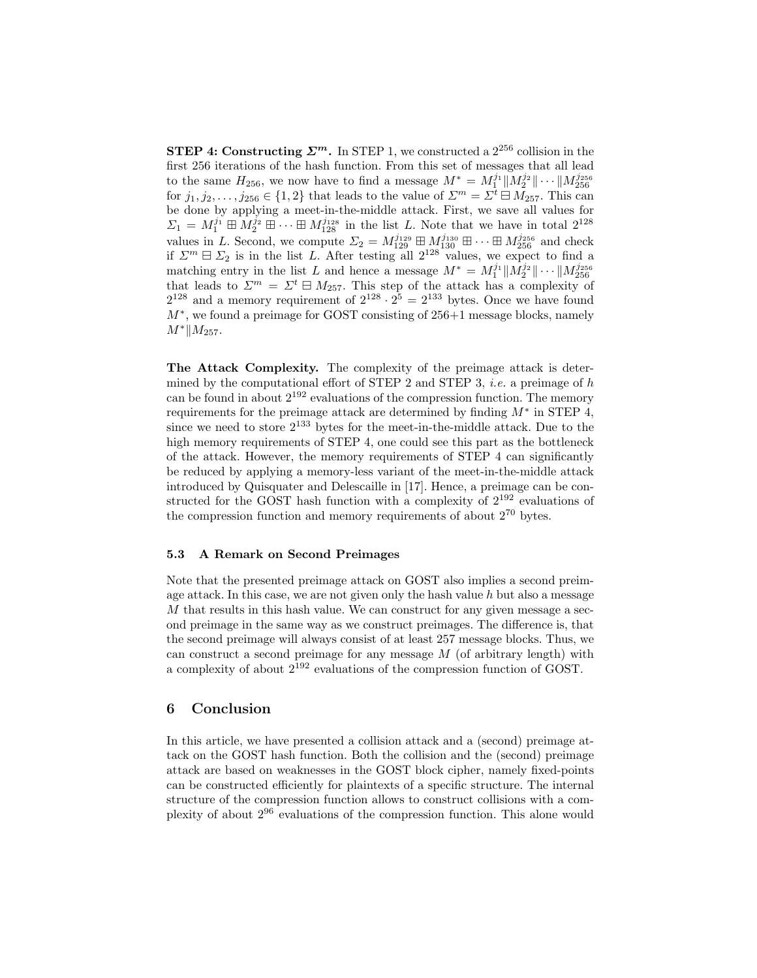**STEP 4: Constructing**  $\mathcal{Z}^m$ **.** In STEP 1, we constructed a  $2^{256}$  collision in the first 256 iterations of the hash function. From this set of messages that all lead to the same  $H_{256}$ , we now have to find a message  $M^* = M_1^{j_1} || M_2^{j_2} || \cdots || M_{256}^{j_{256}}$ for  $j_1, j_2, \ldots, j_{256} \in \{1,2\}$  that leads to the value of  $\Sigma^m = \Sigma^t \sqcup \Lambda_{257}$ . This can be done by applying a meet-in-the-middle attack. First, we save all values for  $\Sigma_1 = M_1^{j_1} \boxplus M_2^{j_2} \boxplus \cdots \boxplus M_{128}^{j_{128}}$  in the list L. Note that we have in total  $2^{128}$ values in L. Second, we compute  $\Sigma_2 = M_{129}^{j_{129}} \boxplus M_{130}^{j_{130}} \boxplus \cdots \boxplus M_{256}^{j_{256}}$  and check if  $\Sigma^m \boxminus \Sigma_2$  is in the list L. After testing all  $2^{128}$  values, we expect to find a matching entry in the list L and hence a message  $M^* = M_1^{j_1} \| M_2^{j_2} \| \cdots \| M_{256}^{j_{256}}$ that leads to  $\Sigma^m = \Sigma^t \boxminus M_{257}$ . This step of the attack has a complexity of  $2^{128}$  and a memory requirement of  $2^{128} \cdot 2^5 = 2^{133}$  bytes. Once we have found M<sup>∗</sup> , we found a preimage for GOST consisting of 256+1 message blocks, namely  $M^*$ || $M_{257}$ .

The Attack Complexity. The complexity of the preimage attack is determined by the computational effort of STEP 2 and STEP 3, *i.e.* a preimage of  $h$ can be found in about  $2^{192}$  evaluations of the compression function. The memory requirements for the preimage attack are determined by finding  $M^*$  in STEP 4, since we need to store  $2^{133}$  bytes for the meet-in-the-middle attack. Due to the high memory requirements of STEP 4, one could see this part as the bottleneck of the attack. However, the memory requirements of STEP 4 can significantly be reduced by applying a memory-less variant of the meet-in-the-middle attack introduced by Quisquater and Delescaille in [17]. Hence, a preimage can be constructed for the GOST hash function with a complexity of  $2^{192}$  evaluations of the compression function and memory requirements of about  $2^{70}$  bytes.

#### 5.3 A Remark on Second Preimages

Note that the presented preimage attack on GOST also implies a second preimage attack. In this case, we are not given only the hash value  $h$  but also a message  $M$  that results in this hash value. We can construct for any given message a second preimage in the same way as we construct preimages. The difference is, that the second preimage will always consist of at least 257 message blocks. Thus, we can construct a second preimage for any message  $M$  (of arbitrary length) with a complexity of about 2<sup>192</sup> evaluations of the compression function of GOST.

# 6 Conclusion

In this article, we have presented a collision attack and a (second) preimage attack on the GOST hash function. Both the collision and the (second) preimage attack are based on weaknesses in the GOST block cipher, namely fixed-points can be constructed efficiently for plaintexts of a specific structure. The internal structure of the compression function allows to construct collisions with a complexity of about 2<sup>96</sup> evaluations of the compression function. This alone would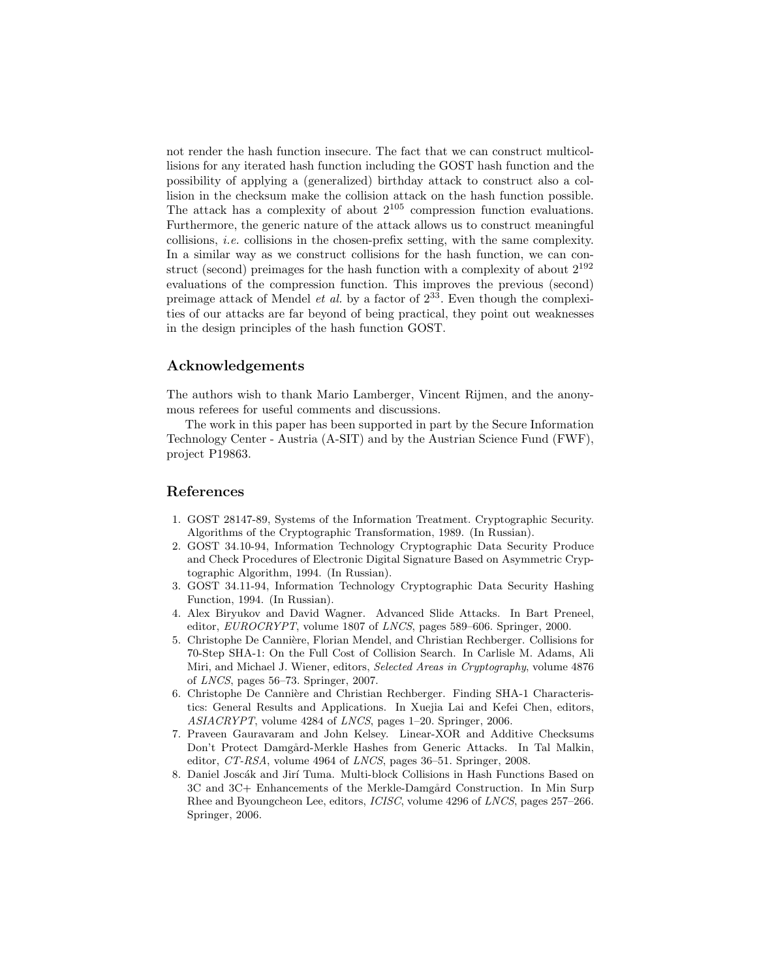not render the hash function insecure. The fact that we can construct multicollisions for any iterated hash function including the GOST hash function and the possibility of applying a (generalized) birthday attack to construct also a collision in the checksum make the collision attack on the hash function possible. The attack has a complexity of about  $2^{105}$  compression function evaluations. Furthermore, the generic nature of the attack allows us to construct meaningful collisions, *i.e.* collisions in the chosen-prefix setting, with the same complexity. In a similar way as we construct collisions for the hash function, we can construct (second) preimages for the hash function with a complexity of about  $2^{192}$ evaluations of the compression function. This improves the previous (second) preimage attack of Mendel *et al.* by a factor of  $2^{33}$ . Even though the complexities of our attacks are far beyond of being practical, they point out weaknesses in the design principles of the hash function GOST.

# Acknowledgements

The authors wish to thank Mario Lamberger, Vincent Rijmen, and the anonymous referees for useful comments and discussions.

The work in this paper has been supported in part by the Secure Information Technology Center - Austria (A-SIT) and by the Austrian Science Fund (FWF), project P19863.

# References

- 1. GOST 28147-89, Systems of the Information Treatment. Cryptographic Security. Algorithms of the Cryptographic Transformation, 1989. (In Russian).
- 2. GOST 34.10-94, Information Technology Cryptographic Data Security Produce and Check Procedures of Electronic Digital Signature Based on Asymmetric Cryptographic Algorithm, 1994. (In Russian).
- 3. GOST 34.11-94, Information Technology Cryptographic Data Security Hashing Function, 1994. (In Russian).
- 4. Alex Biryukov and David Wagner. Advanced Slide Attacks. In Bart Preneel, editor, EUROCRYPT, volume 1807 of LNCS, pages 589–606. Springer, 2000.
- 5. Christophe De Cannière, Florian Mendel, and Christian Rechberger. Collisions for 70-Step SHA-1: On the Full Cost of Collision Search. In Carlisle M. Adams, Ali Miri, and Michael J. Wiener, editors, Selected Areas in Cryptography, volume 4876 of LNCS, pages 56–73. Springer, 2007.
- 6. Christophe De Cannière and Christian Rechberger. Finding SHA-1 Characteristics: General Results and Applications. In Xuejia Lai and Kefei Chen, editors, ASIACRYPT, volume 4284 of LNCS, pages 1–20. Springer, 2006.
- 7. Praveen Gauravaram and John Kelsey. Linear-XOR and Additive Checksums Don't Protect Damgård-Merkle Hashes from Generic Attacks. In Tal Malkin, editor, CT-RSA, volume 4964 of LNCS, pages 36–51. Springer, 2008.
- 8. Daniel Joscák and Jirí Tuma. Multi-block Collisions in Hash Functions Based on 3C and 3C+ Enhancements of the Merkle-Damgård Construction. In Min Surp Rhee and Byoungcheon Lee, editors, ICISC, volume 4296 of LNCS, pages 257–266. Springer, 2006.